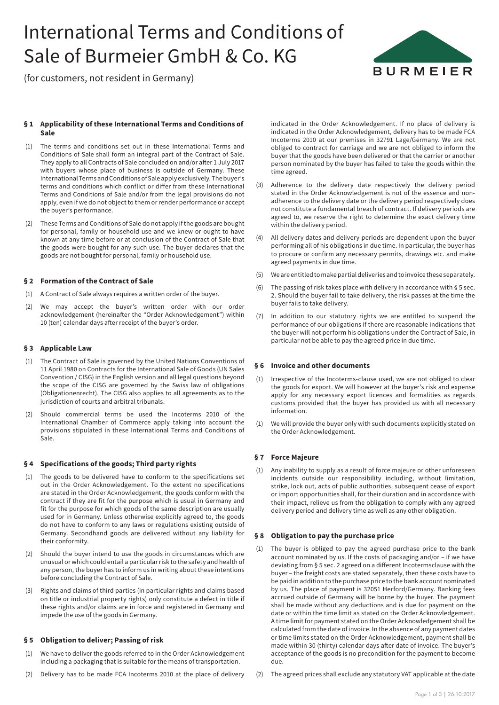# International Terms and Conditions of Sale of Burmeier GmbH & Co. KG



(for customers, not resident in Germany)

## **§ 1 Applicability of these International Terms and Conditions of Sale**

- (1) The terms and conditions set out in these International Terms and Conditions of Sale shall form an integral part of the Contract of Sale. They apply to all Contracts of Sale concluded on and/or after 1 July 2017 with buyers whose place of business is outside of Germany. These International Terms and Conditions of Sale apply exclusively. The buyer's terms and conditions which conflict or differ from these International Terms and Conditions of Sale and/or from the legal provisions do not apply, even if we do not object to them or render performance or accept the buyer's performance.
- (2) These Terms and Conditions of Sale do not apply if the goods are bought for personal, family or household use and we knew or ought to have known at any time before or at conclusion of the Contract of Sale that the goods were bought for any such use. The buyer declares that the goods are not bought for personal, family or household use.

## **§ 2 Formation of the Contract of Sale**

- (1) A Contract of Sale always requires a written order of the buyer.
- (2) We may accept the buyer's written order with our order acknowledgement (hereinafter the "Order Acknowledgement") within 10 (ten) calendar days after receipt of the buyer's order.

## **§ 3 Applicable Law**

- (1) The Contract of Sale is governed by the United Nations Conventions of 11 April 1980 on Contracts for the International Sale of Goods (UN Sales Convention / CISG) in the English version and all legal questions beyond the scope of the CISG are governed by the Swiss law of obligations (Obligationenrecht). The CISG also applies to all agreements as to the jurisdiction of courts and arbitral tribunals.
- (2) Should commercial terms be used the Incoterms 2010 of the International Chamber of Commerce apply taking into account the provisions stipulated in these International Terms and Conditions of Sale.

## **§ 4 Specifications of the goods; Third party rights**

- The goods to be delivered have to conform to the specifications set out in the Order Acknowledgement. To the extent no specifications are stated in the Order Acknowledgement, the goods conform with the contract if they are fit for the purpose which is usual in Germany and fit for the purpose for which goods of the same description are usually used for in Germany. Unless otherwise explicitly agreed to, the goods do not have to conform to any laws or regulations existing outside of Germany. Secondhand goods are delivered without any liability for their conformity.
- (2) Should the buyer intend to use the goods in circumstances which are unusual or which could entail a particular risk to the safety and health of any person, the buyer has to inform us in writing about these intentions before concluding the Contract of Sale.
- (3) Rights and claims of third parties (in particular rights and claims based on title or industrial property rights) only constitute a defect in title if these rights and/or claims are in force and registered in Germany and impede the use of the goods in Germany.

## **§ 5 Obligation to deliver; Passing of risk**

- (1) We have to deliver the goods referred to in the Order Acknowledgement including a packaging that is suitable for the means of transportation.
- (2) Delivery has to be made FCA Incoterms 2010 at the place of delivery

indicated in the Order Acknowledgement. If no place of delivery is indicated in the Order Acknowledgement, delivery has to be made FCA Incoterms 2010 at our premises in 32791 Lage/Germany. We are not obliged to contract for carriage and we are not obliged to inform the buyer that the goods have been delivered or that the carrier or another person nominated by the buyer has failed to take the goods within the time agreed.

- (3) Adherence to the delivery date respectively the delivery period stated in the Order Acknowledgement is not of the essence and nonadherence to the delivery date or the delivery period respectively does not constitute a fundamental breach of contract. If delivery periods are agreed to, we reserve the right to determine the exact delivery time within the delivery period.
- (4) All delivery dates and delivery periods are dependent upon the buyer performing all of his obligations in due time. In particular, the buyer has to procure or confirm any necessary permits, drawings etc. and make agreed payments in due time.
- (5) We are entitled to make partial deliveries and to invoice these separately.
- (6) The passing of risk takes place with delivery in accordance with § 5 sec. 2. Should the buyer fail to take delivery, the risk passes at the time the buyer fails to take delivery.
- (7) In addition to our statutory rights we are entitled to suspend the performance of our obligations if there are reasonable indications that the buyer will not perform his obligations under the Contract of Sale, in particular not be able to pay the agreed price in due time.

## **§ 6 Invoice and other documents**

- (1) Irrespective of the Incoterms-clause used, we are not obliged to clear the goods for export. We will however at the buyer's risk and expense apply for any necessary export licences and formalities as regards customs provided that the buyer has provided us with all necessary information.
- (1) We will provide the buyer only with such documents explicitly stated on the Order Acknowledgement.

## **§ 7 Force Majeure**

(1) Any inability to supply as a result of force majeure or other unforeseen incidents outside our responsibility including, without limitation, strike, lock out, acts of public authorities, subsequent cease of export or import opportunities shall, for their duration and in accordance with their impact, relieve us from the obligation to comply with any agreed delivery period and delivery time as well as any other obligation.

## **§ 8 Obligation to pay the purchase price**

- (1) The buyer is obliged to pay the agreed purchase price to the bank account nominated by us. If the costs of packaging and/or – if we have deviating from § 5 sec. 2 agreed on a different Incotermsclause with the buyer – the freight costs are stated separately, then these costs have to be paid in addition to the purchase price to the bank account nominated by us. The place of payment is 32051 Herford/Germany. Banking fees accrued outside of Germany will be borne by the buyer. The payment shall be made without any deductions and is due for payment on the date or within the time limit as stated on the Order Acknowledgement. A time limit for payment stated on the Order Acknowledgement shall be calculated from the date of invoice. In the absence of any payment dates or time limits stated on the Order Acknowledgement, payment shall be made within 30 (thirty) calendar days after date of invoice. The buyer's acceptance of the goods is no precondition for the payment to become due.
- (2) The agreed prices shall exclude any statutory VAT applicable at the date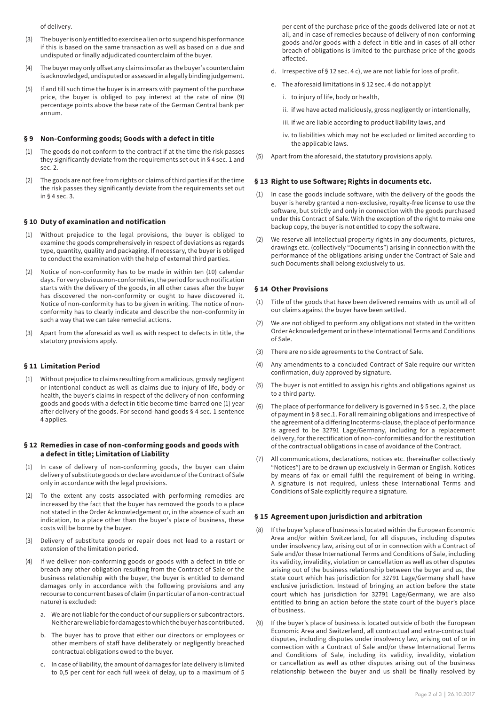#### of delivery.

- (3) The buyer is only entitled to exercise a lien or to suspend his performance if this is based on the same transaction as well as based on a due and undisputed or finally adjudicated counterclaim of the buyer.
- (4) The buyer may only offset any claims insofar as the buyer's counterclaim is acknowledged, undisputed or assessed in a legally binding judgement.
- If and till such time the buyer is in arrears with payment of the purchase price, the buyer is obliged to pay interest at the rate of nine (9) percentage points above the base rate of the German Central bank per annum.

#### **§ 9 Non-Conforming goods; Goods with a defect in title**

- (1) The goods do not conform to the contract if at the time the risk passes they significantly deviate from the requirements set out in § 4 sec. 1 and sec. 2.
- (2) The goods are not free from rights or claims of third parties if at the time the risk passes they significantly deviate from the requirements set out in § 4 sec. 3.

## **§ 10 Duty of examination and notification**

- (1) Without prejudice to the legal provisions, the buyer is obliged to examine the goods comprehensively in respect of deviations as regards type, quantity, quality and packaging. If necessary, the buyer is obliged to conduct the examination with the help of external third parties.
- (2) Notice of non-conformity has to be made in within ten (10) calendar days. For very obvious non-conformities, the period for such notification starts with the delivery of the goods, in all other cases after the buyer has discovered the non-conformity or ought to have discovered it. Notice of non-conformity has to be given in writing. The notice of nonconformity has to clearly indicate and describe the non-conformity in such a way that we can take remedial actions.
- (3) Apart from the aforesaid as well as with respect to defects in title, the statutory provisions apply.

## **§ 11 Limitation Period**

(1) Without prejudice to claims resulting from a malicious, grossly negligent or intentional conduct as well as claims due to injury of life, body or health, the buyer's claims in respect of the delivery of non-conforming goods and goods with a defect in title become time-barred one (1) year after delivery of the goods. For second-hand goods § 4 sec. 1 sentence 4 applies.

#### **§ 12 Remedies in case of non-conforming goods and goods with a defect in title; Limitation of Liability**

- In case of delivery of non-conforming goods, the buyer can claim delivery of substitute goods or declare avoidance of the Contract of Sale only in accordance with the legal provisions.
- (2) To the extent any costs associated with performing remedies are increased by the fact that the buyer has removed the goods to a place not stated in the Order Acknowledgement or, in the absence of such an indication, to a place other than the buyer's place of business, these costs will be borne by the buyer.
- (3) Delivery of substitute goods or repair does not lead to a restart or extension of the limitation period.
- If we deliver non-conforming goods or goods with a defect in title or breach any other obligation resulting from the Contract of Sale or the business relationship with the buyer, the buyer is entitled to demand damages only in accordance with the following provisions and any recourse to concurrent bases of claim (in particular of a non-contractual nature) is excluded:
	- a. We are not liable for the conduct of our suppliers or subcontractors. Neither are we liable for damages to which the buyer has contributed.
	- b. The buyer has to prove that either our directors or employees or other members of staff have deliberately or negligently breached contractual obligations owed to the buyer.
	- c. In case of liability, the amount of damages for late delivery is limited to 0,5 per cent for each full week of delay, up to a maximum of 5

per cent of the purchase price of the goods delivered late or not at all, and in case of remedies because of delivery of non-conforming goods and/or goods with a defect in title and in cases of all other breach of obligations is limited to the purchase price of the goods affected.

- d. Irrespective of § 12 sec. 4 c), we are not liable for loss of profit.
- e. The aforesaid limitations in § 12 sec. 4 do not applyt
	- i. to injury of life, body or health,
	- ii. if we have acted maliciously, gross negligently or intentionally,
	- iii. if we are liable according to product liability laws, and
	- iv. to liabilities which may not be excluded or limited according to the applicable laws.
- (5) Apart from the aforesaid, the statutory provisions apply.

## **§ 13 Right to use Software; Rights in documents etc.**

- In case the goods include software, with the delivery of the goods the buyer is hereby granted a non-exclusive, royalty-free license to use the software, but strictly and only in connection with the goods purchased under this Contract of Sale. With the exception of the right to make one backup copy, the buyer is not entitled to copy the software.
- (2) We reserve all intellectual property rights in any documents, pictures, drawings etc. (collectively "Documents") arising in connection with the performance of the obligations arising under the Contract of Sale and such Documents shall belong exclusively to us.

## **§ 14 Other Provisions**

- (1) Title of the goods that have been delivered remains with us until all of our claims against the buyer have been settled.
- (2) We are not obliged to perform any obligations not stated in the written Order Acknowledgement or in these International Terms and Conditions of Sale.
- (3) There are no side agreements to the Contract of Sale.
- (4) Any amendments to a concluded Contract of Sale require our written confirmation, duly approved by signature.
- (5) The buyer is not entitled to assign his rights and obligations against us to a third party.
- (6) The place of performance for delivery is governed in § 5 sec. 2, the place of payment in § 8 sec.1. For all remaining obligations and irrespective of the agreement of a differing Incoterms-clause, the place of performance is agreed to be 32791 Lage/Germany, including for a replacement delivery, for the rectification of non-conformities and for the restitution of the contractual obligations in case of avoidance of the Contract.
- (7) All communications, declarations, notices etc. (hereinafter collectively "Notices") are to be drawn up exclusively in German or English. Notices by means of fax or email fulfil the requirement of being in writing. A signature is not required, unless these International Terms and Conditions of Sale explicitly require a signature.

#### **§ 15 Agreement upon jurisdiction and arbitration**

- (8) If the buyer's place of business is located within the European Economic Area and/or within Switzerland, for all disputes, including disputes under insolvency law, arising out of or in connection with a Contract of Sale and/or these International Terms and Conditions of Sale, including its validity, invalidity, violation or cancellation as well as other disputes arising out of the business relationship between the buyer and us, the state court which has jurisdiction for 32791 Lage/Germany shall have exclusive jurisdiction. Instead of bringing an action before the state court which has jurisdiction for 32791 Lage/Germany, we are also entitled to bring an action before the state court of the buyer's place of business.
- (9) If the buyer's place of business is located outside of both the European Economic Area and Switzerland, all contractual and extra-contractual disputes, including disputes under insolvency law, arising out of or in connection with a Contract of Sale and/or these International Terms and Conditions of Sale, including its validity, invalidity, violation or cancellation as well as other disputes arising out of the business relationship between the buyer and us shall be finally resolved by